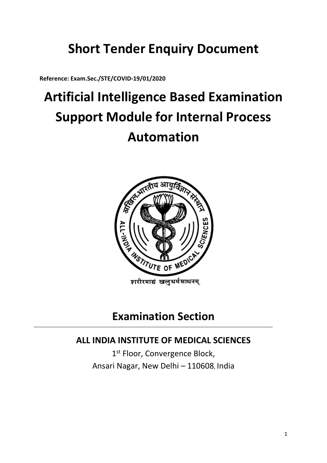# **Short Tender Enquiry Document**

**Reference: Exam.Sec./STE/COVID-19/01/2020** 

# **Artificial Intelligence Based Examination Support Module for Internal Process Automation**



शरीरमाद्यं खलुधर्मसाधनम्

## **Examination Section**

## **ALL INDIA INSTITUTE OF MEDICAL SCIENCES**

1<sup>st</sup> Floor, Convergence Block, Ansari Nagar, New Delhi – 110608, India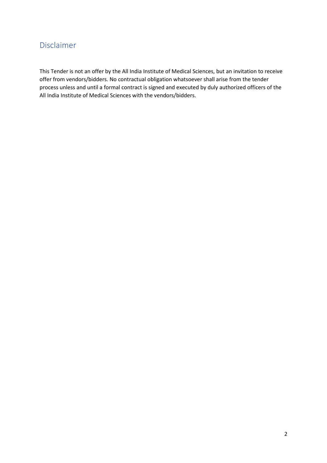## <span id="page-1-0"></span>Disclaimer

This Tender is not an offer by the All India Institute of Medical Sciences, but an invitation to receive offer from vendors/bidders. No contractual obligation whatsoever shall arise from the tender process unless and until a formal contract is signed and executed by duly authorized officers of the All India Institute of Medical Sciences with the vendors/bidders.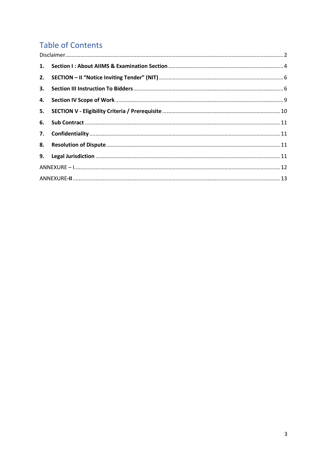## **Table of Contents**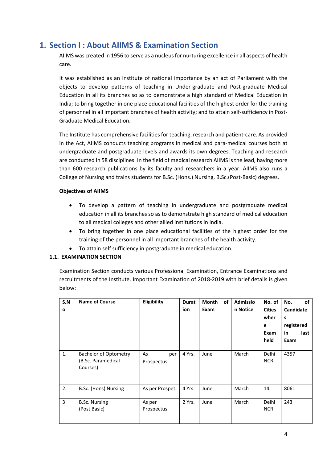## <span id="page-3-0"></span>**1. Section I : About AIIMS & Examination Section**

AIIMS was created in 1956 to serve as a nucleus for nurturing excellence in all aspects of health care.

It was established as an institute of national importance by an act of Parliament with the objects to develop patterns of teaching in Under-graduate and Post-graduate Medical Education in all its branches so as to demonstrate a high standard of Medical Education in India; to bring together in one place educational facilities of the highest order for the training of personnel in all important branches of health activity; and to attain self-sufficiency in Post-Graduate Medical Education.

The Institute has comprehensive facilities for teaching, research and patient-care. As provided in the Act, AIIMS conducts teaching programs in medical and para-medical courses both at undergraduate and postgraduate levels and awards its own degrees. Teaching and research are conducted in 58 disciplines. In the field of medical research AIIMS is the lead, having more than 600 research publications by its faculty and researchers in a year. AIIMS also runs a College of Nursing and trains students for B.Sc. (Hons.) Nursing, B.Sc.(Post-Basic) degrees.

#### **Objectives of AIIMS**

- To develop a pattern of teaching in undergraduate and postgraduate medical education in all its branches so as to demonstrate high standard of medical education to all medical colleges and other allied institutions in India.
- To bring together in one place educational facilities of the highest order for the training of the personnel in all important branches of the health activity.
- To attain self sufficiency in postgraduate in medical education.

#### **1.1. EXAMINATION SECTION**

Examination Section conducts various Professional Examination, Entrance Examinations and recruitments of the Institute. Important Examination of 2018-2019 with brief details is given below:

| S.N<br>$\mathbf{o}$ | <b>Name of Course</b>                                   | Eligibility             | <b>Durat</b><br>ion | Month<br>Exam | of | <b>Admissio</b><br>n Notice | No. of<br><b>Cities</b><br>wher<br>е<br>Exam<br>held | of<br>No.<br><b>Candidate</b><br>s<br>registered<br>in<br>last<br>Exam |
|---------------------|---------------------------------------------------------|-------------------------|---------------------|---------------|----|-----------------------------|------------------------------------------------------|------------------------------------------------------------------------|
| 1.                  | Bachelor of Optometry<br>(B.Sc. Paramedical<br>Courses) | As<br>per<br>Prospectus | 4 Yrs.              | June          |    | March                       | Delhi<br><b>NCR</b>                                  | 4357                                                                   |
| 2.                  | B.Sc. (Hons) Nursing                                    | As per Prospet.         | 4 Yrs.              | June          |    | March                       | 14                                                   | 8061                                                                   |
| 3                   | <b>B.Sc. Nursing</b><br>(Post Basic)                    | As per<br>Prospectus    | 2 Yrs.              | June          |    | March                       | Delhi<br><b>NCR</b>                                  | 243                                                                    |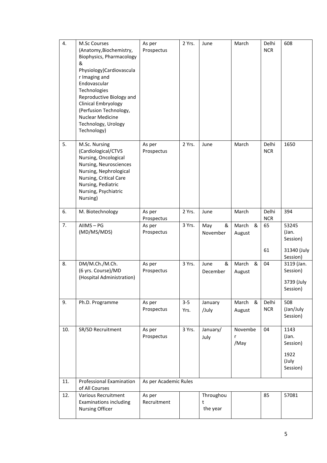| 4.  | <b>M.Sc Courses</b><br>(Anatomy, Biochemistry,<br>Biophysics, Pharmacology<br>&<br>Physiology)Cardiovascula<br>r Imaging and<br>Endovascular<br>Technologies<br>Reproductive Biology and<br><b>Clinical Embryology</b><br>(Perfusion Technology,<br>Nuclear Medicine<br>Technology, Urology<br>Technology) | As per<br>Prospectus  | 2 Yrs.          | June                       | March                | Delhi<br><b>NCR</b> | 608                                                    |
|-----|------------------------------------------------------------------------------------------------------------------------------------------------------------------------------------------------------------------------------------------------------------------------------------------------------------|-----------------------|-----------------|----------------------------|----------------------|---------------------|--------------------------------------------------------|
| 5.  | M.Sc. Nursing<br>(Cardiological/CTVS<br>Nursing, Oncological<br>Nursing, Neurosciences<br>Nursing, Nephrological<br>Nursing, Critical Care<br>Nursing, Pediatric<br>Nursing, Psychiatric<br>Nursing)                                                                                                       | As per<br>Prospectus  | 2 Yrs.          | June                       | March                | Delhi<br><b>NCR</b> | 1650                                                   |
| 6.  | M. Biotechnology                                                                                                                                                                                                                                                                                           | As per<br>Prospectus  | 2 Yrs.          | June                       | March                | Delhi<br><b>NCR</b> | 394                                                    |
| 7.  | AIIMS-PG<br>(MD/MS/MDS)                                                                                                                                                                                                                                                                                    | As per<br>Prospectus  | 3 Yrs.          | May<br>&<br>November       | March<br>&<br>August | 65<br>61            | 53245<br>(Jan.<br>Session)<br>31340 (July<br>Session)  |
| 8.  | DM/M.Ch./M.Ch.<br>(6 yrs. Course)/MD<br>(Hospital Administration)                                                                                                                                                                                                                                          | As per<br>Prospectus  | 3 Yrs.          | &<br>June<br>December      | March<br>&<br>August | 04                  | 3119 (Jan.<br>Session)<br>3739 (July<br>Session)       |
| 9.  | Ph.D. Programme                                                                                                                                                                                                                                                                                            | As per<br>Prospectus  | $3 - 5$<br>Yrs. | January<br>/July           | March<br>&<br>August | Delhi<br><b>NCR</b> | 508<br>(Jan/July<br>Session)                           |
| 10. | SR/SD Recruitment                                                                                                                                                                                                                                                                                          | As per<br>Prospectus  | 3 Yrs.          | January/<br>July           | Novembe<br>r<br>/May | 04                  | 1143<br>(Jan.<br>Session)<br>1922<br>(July<br>Session) |
| 11. | Professional Examination<br>of All Courses                                                                                                                                                                                                                                                                 | As per Academic Rules |                 |                            |                      |                     |                                                        |
| 12. | Various Recruitment<br><b>Examinations including</b><br><b>Nursing Officer</b>                                                                                                                                                                                                                             | As per<br>Recruitment |                 | Throughou<br>t<br>the year |                      | 85                  | 57081                                                  |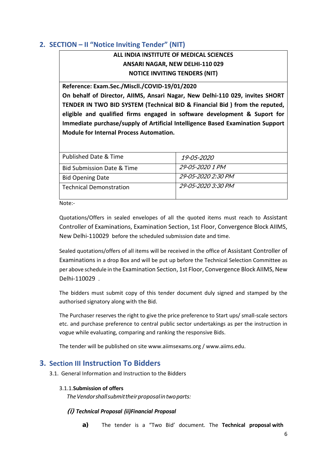## <span id="page-5-0"></span>**2. SECTION – II "Notice Inviting Tender" (NIT)**

## **ALL INDIA INSTITUTE OF MEDICAL SCIENCES ANSARI NAGAR, NEW DELHI-110 029 NOTICE INVITING TENDERS (NIT)**

**Reference: Exam.Sec./Miscll./COVID-19/01/2020 On behalf of Director, AIIMS, Ansari Nagar, New Delhi-110 029, invites SHORT TENDER IN TWO BID SYSTEM (Technical BID & Financial Bid ) from the reputed, eligible and qualified firms engaged in software development & Suport for Immediate purchase/supply of Artificial Intelligence Based Examination Support Module for Internal Process Automation.**

| <b>Published Date &amp; Time</b>      | 19-05-2020         |
|---------------------------------------|--------------------|
| <b>Bid Submission Date &amp; Time</b> | 29-05-2020 1 PM    |
| <b>Bid Opening Date</b>               | 29-05-2020 2:30 PM |
| <b>Technical Demonstration</b>        | 29-05-2020 3:30 PM |

Note:-

Quotations/Offers in sealed envelopes of all the quoted items must reach to Assistant Controller of Examinations, Examination Section, 1st Floor, Convergence Block AIIMS, New Delhi-110029 before the scheduled submission date and time.

Sealed quotations/offers of all items will be received in the office of Assistant Controller of Examinations in a drop Box and will be put up before the Technical Selection Committee as per above schedule in the Examination Section, 1st Floor, Convergence Block AIIMS, New Delhi-110029 .

The bidders must submit copy of this tender document duly signed and stamped by the authorised signatory along with the Bid.

The Purchaser reserves the right to give the price preference to Start ups/ small-scale sectors etc. and purchase preference to central public sector undertakings as per the instruction in vogue while evaluating, comparing and ranking the responsive Bids.

The tender will be published on site www.aiimsexams.org / www.aiims.edu.

## <span id="page-5-1"></span>**3. Section III Instruction To Bidders**

3.1. General Information and Instruction to the Bidders

#### 3.1.1.**Submission of offers**

*TheVendorshallsubmittheirproposalintwoparts:*

#### (i) *Technical Proposal (ii)Financial Proposal*

**a)** The tender is a "Two Bid' document. The **Technical proposal with**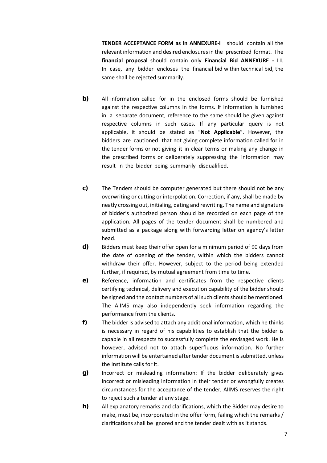**TENDER ACCEPTANCE FORM as in ANNEXURE-I** should contain all the relevant information and desired enclosuresin the prescribed format. The **financial proposal** should contain only **Financial Bid ANNEXURE - I I**. In case, any bidder encloses the financial bid within technical bid, the same shall be rejected summarily.

- **b)** All information called for in the enclosed forms should be furnished against the respective columns in the forms. If information is furnished in a separate document, reference to the same should be given against respective columns in such cases. If any particular query is not applicable, it should be stated as "**Not Applicable**". However, the bidders are cautioned that not giving complete information called for in the tender forms or not giving it in clear terms or making any change in the prescribed forms or deliberately suppressing the information may result in the bidder being summarily disqualified.
- **c)** The Tenders should be computer generated but there should not be any overwriting or cutting or interpolation. Correction, if any, shall be made by neatly crossing out, initialing, dating and rewriting. The name and signature of bidder's authorized person should be recorded on each page of the application. All pages of the tender document shall be numbered and submitted as a package along with forwarding letter on agency's letter head.
- **d)** Bidders must keep their offer open for a minimum period of 90 days from the date of opening of the tender, within which the bidders cannot withdraw their offer. However, subject to the period being extended further, if required, by mutual agreement from time to time.
- **e)** Reference, information and certificates from the respective clients certifying technical, delivery and execution capability of the bidder should be signed and the contact numbers of all such clients should be mentioned. The AIIMS may also independently seek information regarding the performance from the clients.
- **f)** The bidder is advised to attach any additional information, which he thinks is necessary in regard of his capabilities to establish that the bidder is capable in all respects to successfully complete the envisaged work. He is however, advised not to attach superfluous information. No further information will be entertained after tender document is submitted, unless the Institute calls for it.
- **g)** Incorrect or misleading information: If the bidder deliberately gives incorrect or misleading information in their tender or wrongfully creates circumstances for the acceptance of the tender, AIIMS reserves the right to reject such a tender at any stage.
- **h)** All explanatory remarks and clarifications, which the Bidder may desire to make, must be, incorporated in the offer form, failing which the remarks / clarifications shall be ignored and the tender dealt with as it stands.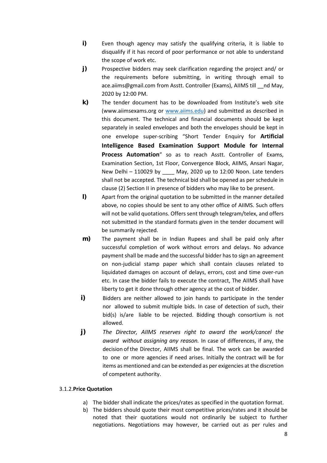- **i)** Even though agency may satisfy the qualifying criteria, it is liable to disqualify if it has record of poor performance or not able to understand the scope of work etc.
- **j)** Prospective bidders may seek clarification regarding the project and/ or the requirements before submitting, in writing through email to ace.aiims@gmail.com from Asstt. Controller (Exams), AIIMS till \_\_nd May, 2020 by 12:00 PM.
- **k)** The tender document has to be downloaded from Institute's web site (www.aiimsexams.org or [www.aiims.edu\)](http://www.aiims.edu/) and submitted as described in this document. The technical and financial documents should be kept separately in sealed envelopes and both the envelopes should be kept in one envelope super-scribing "Short Tender Enquiry for **Artificial Intelligence Based Examination Support Module for Internal Process Automation**" so as to reach Asstt. Controller of Exams, Examination Section, 1st Floor, Convergence Block, AIIMS, Ansari Nagar, New Delhi  $-$  110029 by May, 2020 up to 12:00 Noon. Late tenders shall not be accepted. The technical bid shall be opened as per schedule in clause (2) Section II in presence of bidders who may like to be present.
- **l)** Apart from the original quotation to be submitted in the manner detailed above, no copies should be sent to any other office of AIIMS. Such offers will not be valid quotations. Offers sent through telegram/telex, and offers not submitted in the standard formats given in the tender document will be summarily rejected.
- **m)** The payment shall be in Indian Rupees and shall be paid only after successful completion of work without errors and delays. No advance payment shall be made and the successful bidder has to sign an agreement on non-judicial stamp paper which shall contain clauses related to liquidated damages on account of delays, errors, cost and time over-run etc. In case the bidder fails to execute the contract, The AIIMS shall have liberty to get it done through other agency at the cost of bidder.
- **i)** Bidders are neither allowed to join hands to participate in the tender nor allowed to submit multiple bids. In case of detection of such, their bid(s) is/are liable to be rejected. Bidding though consortium is not allowed.
- **j)** *The Director, AIIMS reserves right to award the work/cancel the award without assigning any reason.* In case of differences, if any, the decision of the Director, AIIMS shall be final. The work can be awarded to one or more agencies if need arises. Initially the contract will be for items as mentioned and can be extended as per exigencies at the discretion of competent authority.

#### 3.1.2.**Price Quotation**

- a) The bidder shall indicate the prices/rates as specified in the quotation format.
- b) The bidders should quote their most competitive prices/rates and it should be noted that their quotations would not ordinarily be subject to further negotiations. Negotiations may however, be carried out as per rules and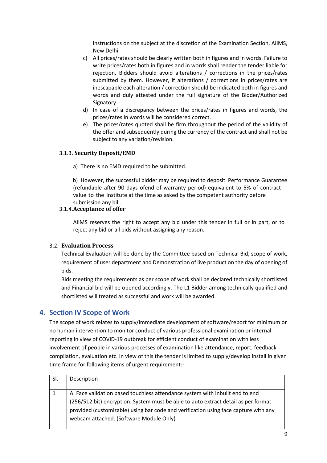instructions on the subject at the discretion of the Examination Section, AIIMS, New Delhi.

- c) All prices/rates should be clearly written both in figures and in words. Failure to write prices/rates both in figures and in words shall render the tender liable for rejection. Bidders should avoid alterations / corrections in the prices/rates submitted by them. However, if alterations / corrections in prices/rates are inescapable each alteration / correction should be indicated both in figures and words and duly attested under the full signature of the Bidder/Authorized Signatory.
- d) In case of a discrepancy between the prices/rates in figures and words, the prices/rates in words will be considered correct.
- e) The prices/rates quoted shall be firm throughout the period of the validity of the offer and subsequently during the currency of the contract and shall not be subject to any variation/revision.

#### 3.1.3. **Security Deposit/EMD**

a) There is no EMD required to be submitted.

b) However, the successful bidder may be required to deposit Performance Guarantee (refundable after 90 days ofend of warranty period) equivalent to 5% of contract value to the Institute at the time as asked by the competent authority before submission any bill.

#### 3.1.4.**Acceptance of offer**

AIIMS reserves the right to accept any bid under this tender in full or in part, or to reject any bid or all bids without assigning any reason.

#### 3.2. **Evaluation Process**

Technical Evaluation will be done by the Committee based on Technical Bid, scope of work, requirement of user department and Demonstration of live product on the day of opening of bids.

Bids meeting the requirements as per scope of work shall be declared technically shortlisted and Financial bid will be opened accordingly. The L1 Bidder among technically qualified and shortlisted will treated as successful and work will be awarded.

#### <span id="page-8-0"></span>**4. Section IV Scope of Work**

The scope of work relates to supply/immediate development of software/report for minimum or no human intervention to monitor conduct of various professional examination or internal reporting in view of COVID-19 outbreak for efficient conduct of examination with less involvement of people in various processes of examination like attendance, report, feedback compilation, evaluation etc. In view of this the tender is limited to supply/develop install in given time frame for following items of urgent requirement:-

| SI. | Description                                                                                                                                                                                                                                                                                          |
|-----|------------------------------------------------------------------------------------------------------------------------------------------------------------------------------------------------------------------------------------------------------------------------------------------------------|
|     | Al Face validation based touchless attendance system with inbuilt end to end<br>(256/512 bit) encryption. System must be able to auto extract detail as per format<br>provided (customizable) using bar code and verification using face capture with any<br>webcam attached. (Software Module Only) |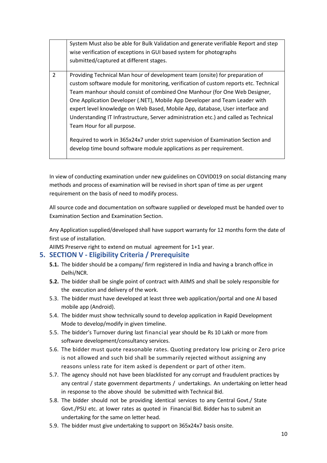|                | System Must also be able for Bulk Validation and generate verifiable Report and step<br>wise verification of exceptions in GUI based system for photographs<br>submitted/captured at different stages.                                                                                                                                                                                                                                                                                                                                   |
|----------------|------------------------------------------------------------------------------------------------------------------------------------------------------------------------------------------------------------------------------------------------------------------------------------------------------------------------------------------------------------------------------------------------------------------------------------------------------------------------------------------------------------------------------------------|
| $\overline{2}$ | Providing Technical Man hour of development team (onsite) for preparation of<br>custom software module for monitoring, verification of custom reports etc. Technical<br>Team manhour should consist of combined One Manhour (for One Web Designer,<br>One Application Developer (.NET), Mobile App Developer and Team Leader with<br>expert level knowledge on Web Based, Mobile App, database, User interface and<br>Understanding IT Infrastructure, Server administration etc.) and called as Technical<br>Team Hour for all purpose. |
|                | Required to work in 365x24x7 under strict supervision of Examination Section and<br>develop time bound software module applications as per requirement.                                                                                                                                                                                                                                                                                                                                                                                  |

In view of conducting examination under new guidelines on COVID019 on social distancing many methods and process of examination will be revised in short span of time as per urgent requirement on the basis of need to modify process.

All source code and documentation on software supplied or developed must be handed over to Examination Section and Examination Section.

Any Application supplied/developed shall have support warranty for 12 months form the date of first use of installation.

AIIMS Preserve right to extend on mutual agreement for 1+1 year.

#### <span id="page-9-0"></span>**5. SECTION V - Eligibility Criteria / Prerequisite**

- **5.1.** The bidder should be a company/ firm registered in India and having a branch office in Delhi/NCR.
- **5.2.** The bidder shall be single point of contract with AIIMS and shall be solely responsible for the execution and delivery of the work.
- 5.3. The bidder must have developed at least three web application/portal and one AI based mobile app (Android).
- 5.4. The bidder must show technically sound to develop application in Rapid Development Mode to develop/modify in given timeline.
- 5.5. The bidder's Turnover during last financial year should be Rs 10 Lakh or more from software development/consultancy services.
- 5.6. The bidder must quote reasonable rates. Quoting predatory low pricing or Zero price is not allowed and such bid shall be summarily rejected without assigning any reasons unless rate for item asked is dependent or part of other item.
- 5.7. The agency should not have been blacklisted for any corrupt and fraudulent practices by any central / state government departments / undertakings. An undertaking on letter head in response to the above should be submitted with Technical Bid.
- 5.8. The bidder should not be providing identical services to any Central Govt./ State Govt./PSU etc. at lower rates as quoted in Financial Bid. Bidder has to submit an undertaking for the same on letter head.
- 5.9. The bidder must give undertaking to support on 365x24x7 basis onsite.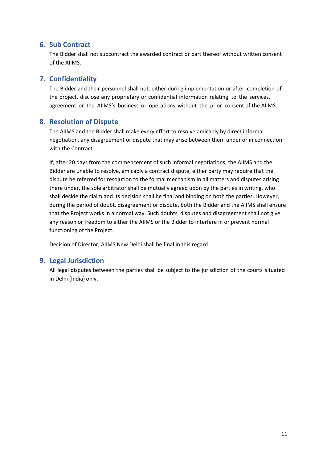#### <span id="page-10-0"></span>**6. Sub Contract**

The Bidder shall not subcontract the awarded contract or part thereof without written consent of the AIIMS.

#### <span id="page-10-1"></span>**7. Confidentiality**

The Bidder and their personnel shall not, either during implementation or after completion of the project, disclose any proprietary or confidential information relating to the services, agreement or the AIIMS's business or operations without the prior consent of the AIIMS.

#### <span id="page-10-2"></span>**8. Resolution of Dispute**

The AIIMS and the Bidder shall make every effort to resolve amicably by direct informal negotiation, any disagreement or dispute that may arise between them under or in connection with the Contract.

If, after 20 days from the commencement of such informal negotiations, the AIIMS and the Bidder are unable to resolve, amicably a contract dispute, either party may require that the dispute be referred for resolution to the formal mechanism In all matters and disputes arising there under, the sole arbitrator shall be mutually agreed upon by the parties in writing, who shall decide the claim and its decision shall be final and binding on both the parties. However, during the period of doubt, disagreement or dispute, both the Bidder and the AIIMS shall ensure that the Project works in a normal way. Such doubts, disputes and disagreement shall not give any reason or freedom to either the AIIMS or the Bidder to interfere in or prevent normal functioning of the Project.

Decision of Director, AIIMS New Delhi shall be final in this regard.

#### <span id="page-10-3"></span>**9. Legal Jurisdiction**

All legal disputes between the parties shall be subject to the jurisdiction of the courts situated in Delhi (India) only.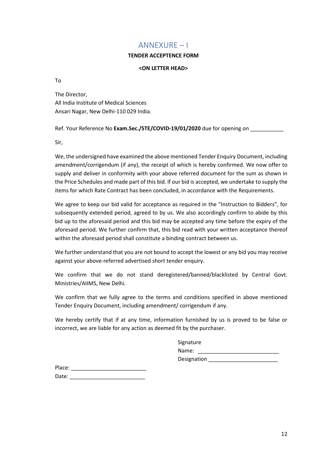## ANNEXURE – I

#### **TENDER ACCEPTENCE FORM**

#### **<ON LETTER HEAD>**

<span id="page-11-0"></span>To

The Director, All India Institute of Medical Sciences Ansari Nagar, New Delhi-110 029 India.

Ref. Your Reference No **Exam.Sec./STE/COVID-19/01/2020** due for opening on \_\_\_\_\_\_\_\_\_\_\_

Sir,

We, the undersigned have examined the above mentioned Tender Enquiry Document, including amendment/corrigendum (if any), the receipt of which is hereby confirmed. We now offer to supply and deliver in conformity with your above referred document for the sum as shown in the Price Schedules and made part of this bid. If our bid is accepted, we undertake to supply the items for which Rate Contract has been concluded, in accordance with the Requirements.

We agree to keep our bid valid for acceptance as required in the "Instruction to Bidders", for subsequently extended period, agreed to by us. We also accordingly confirm to abide by this bid up to the aforesaid period and this bid may be accepted any time before the expiry of the aforesaid period. We further confirm that, this bid read with your written acceptance thereof within the aforesaid period shall constitute a binding contract between us.

We further understand that you are not bound to accept the lowest or any bid you may receive against your above-referred advertised short tender enquiry.

We confirm that we do not stand deregistered/banned/blacklisted by Central Govt. Ministries/AIIMS, New Delhi.

We confirm that we fully agree to the terms and conditions specified in above mentioned Tender Enquiry Document, including amendment/ corrigendum if any.

We hereby certify that if at any time, information furnished by us is proved to be false or incorrect, we are liable for any action as deemed fit by the purchaser.

| Signature   |  |  |  |  |
|-------------|--|--|--|--|
| Name:       |  |  |  |  |
| Designation |  |  |  |  |

Place: \_\_\_\_\_\_\_\_\_\_\_\_\_\_\_\_\_\_\_\_\_\_\_\_\_ Date:  $\Box$